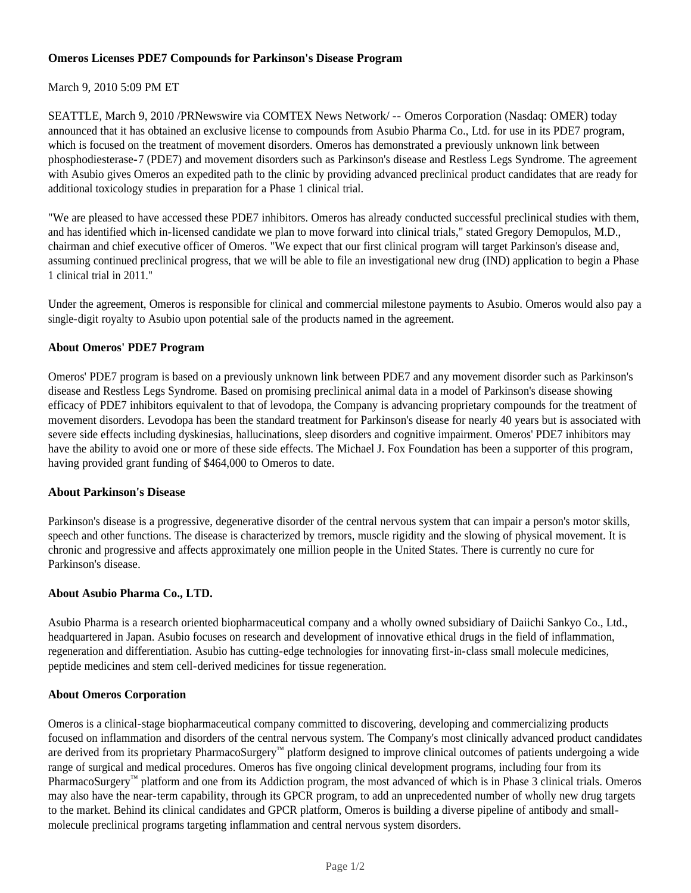# **Omeros Licenses PDE7 Compounds for Parkinson's Disease Program**

# March 9, 2010 5:09 PM ET

SEATTLE, March 9, 2010 /PRNewswire via COMTEX News Network/ -- Omeros Corporation (Nasdaq: OMER) today announced that it has obtained an exclusive license to compounds from Asubio Pharma Co., Ltd. for use in its PDE7 program, which is focused on the treatment of movement disorders. Omeros has demonstrated a previously unknown link between phosphodiesterase-7 (PDE7) and movement disorders such as Parkinson's disease and Restless Legs Syndrome. The agreement with Asubio gives Omeros an expedited path to the clinic by providing advanced preclinical product candidates that are ready for additional toxicology studies in preparation for a Phase 1 clinical trial.

"We are pleased to have accessed these PDE7 inhibitors. Omeros has already conducted successful preclinical studies with them, and has identified which in-licensed candidate we plan to move forward into clinical trials," stated Gregory Demopulos, M.D., chairman and chief executive officer of Omeros. "We expect that our first clinical program will target Parkinson's disease and, assuming continued preclinical progress, that we will be able to file an investigational new drug (IND) application to begin a Phase 1 clinical trial in 2011."

Under the agreement, Omeros is responsible for clinical and commercial milestone payments to Asubio. Omeros would also pay a single-digit royalty to Asubio upon potential sale of the products named in the agreement.

# **About Omeros' PDE7 Program**

Omeros' PDE7 program is based on a previously unknown link between PDE7 and any movement disorder such as Parkinson's disease and Restless Legs Syndrome. Based on promising preclinical animal data in a model of Parkinson's disease showing efficacy of PDE7 inhibitors equivalent to that of levodopa, the Company is advancing proprietary compounds for the treatment of movement disorders. Levodopa has been the standard treatment for Parkinson's disease for nearly 40 years but is associated with severe side effects including dyskinesias, hallucinations, sleep disorders and cognitive impairment. Omeros' PDE7 inhibitors may have the ability to avoid one or more of these side effects. The Michael J. Fox Foundation has been a supporter of this program, having provided grant funding of \$464,000 to Omeros to date.

### **About Parkinson's Disease**

Parkinson's disease is a progressive, degenerative disorder of the central nervous system that can impair a person's motor skills, speech and other functions. The disease is characterized by tremors, muscle rigidity and the slowing of physical movement. It is chronic and progressive and affects approximately one million people in the United States. There is currently no cure for Parkinson's disease.

### **About Asubio Pharma Co., LTD.**

Asubio Pharma is a research oriented biopharmaceutical company and a wholly owned subsidiary of Daiichi Sankyo Co., Ltd., headquartered in Japan. Asubio focuses on research and development of innovative ethical drugs in the field of inflammation, regeneration and differentiation. Asubio has cutting-edge technologies for innovating first-in-class small molecule medicines, peptide medicines and stem cell-derived medicines for tissue regeneration.

# **About Omeros Corporation**

Omeros is a clinical-stage biopharmaceutical company committed to discovering, developing and commercializing products focused on inflammation and disorders of the central nervous system. The Company's most clinically advanced product candidates are derived from its proprietary PharmacoSurgery™ platform designed to improve clinical outcomes of patients undergoing a wide range of surgical and medical procedures. Omeros has five ongoing clinical development programs, including four from its PharmacoSurgery™ platform and one from its Addiction program, the most advanced of which is in Phase 3 clinical trials. Omeros may also have the near-term capability, through its GPCR program, to add an unprecedented number of wholly new drug targets to the market. Behind its clinical candidates and GPCR platform, Omeros is building a diverse pipeline of antibody and smallmolecule preclinical programs targeting inflammation and central nervous system disorders.